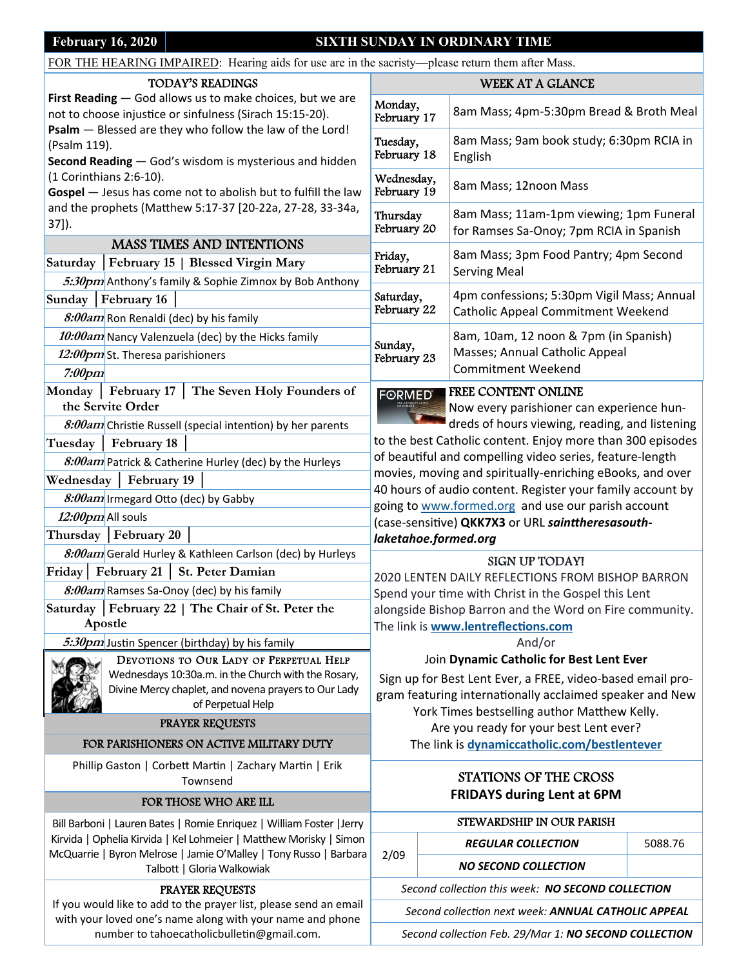### **February 16, 2020 SIXTH SUNDAY IN ORDINARY TIME**

FOR THE HEARING IMPAIRED: Hearing aids for use are in the sacristy—please return them after Mass.

### TODAY'S READINGS

**First Reading** — God allows us to make choices, but we are not to choose injustice or sinfulness (Sirach 15:15-20). **Psalm** — Blessed are they who follow the law of the Lord! (Psalm 119).

**Second Reading** — God's wisdom is mysterious and hidden (1 Corinthians 2:6‐10).

**Gospel** — Jesus has come not to abolish but to fulfill the law and the prophets (Matthew 5:17-37 [20-22a, 27-28, 33-34a, 37]).

# MASS TIMES AND INTENTIONS **Saturday │February 15 | Blessed Virgin Mary**

**5:30pm** Anthony's family & Sophie Zimnox by Bob Anthony **Sunday │February 16 │**

8:00am Ron Renaldi (dec) by his family

10:00am Nancy Valenzuela (dec) by the Hicks family 12:00pm St. Theresa parishioners

**7:00pm** 

**Monday │ February 17 │ The Seven Holy Founders of the Servite Order** 

8:00am Christie Russell (special intention) by her parents **Tuesday │ February 18 │**

8:00am Patrick & Catherine Hurley (dec) by the Hurleys

**Wednesday │ February 19 │** 8:00am Irmegard Otto (dec) by Gabby

**12:00pm** All souls

**Thursday │February 20 │**

**8:00am** Gerald Hurley & Kathleen Carlson (dec) by Hurleys **Friday│ February 21 │ St. Peter Damian** 

8:00am Ramses Sa-Onoy (dec) by his family

**Saturday │February 22 | The Chair of St. Peter the Apostle** 

5:30pm Justin Spencer (birthday) by his family

# i Wednesdays 10:30a.m. in the Church with the Rosary, Divine Mercy chaplet, and novena prayers to Our Lady

of Perpetual Help PRAYER REQUESTS

DEVOTIONS TO OUR LADY OF PERPETUAL HELP

### FOR PARISHIONERS ON ACTIVE MILITARY DUTY

Phillip Gaston | Corbett Martin | Zachary Martin | Erik Townsend

### FOR THOSE WHO ARE ILL

Bill Barboni | Lauren Bates | Romie Enriquez | William Foster |Jerry Kirvida | Ophelia Kirvida | Kel Lohmeier | Matthew Morisky | Simon McQuarrie | Byron Melrose | Jamie O'Malley | Tony Russo | Barbara Talbott | Gloria Walkowiak

### PRAYER REQUESTS

If you would like to add to the prayer list, please send an email with your loved one's name along with your name and phone number to tahoecatholicbulletin@gmail.com.

| WEEK AT A GLANCE          |                                                                                               |  |
|---------------------------|-----------------------------------------------------------------------------------------------|--|
| Monday,<br>February 17    | 8am Mass; 4pm-5:30pm Bread & Broth Meal                                                       |  |
| Tuesday,                  | 8am Mass; 9am book study; 6:30pm RCIA in                                                      |  |
| February 18               | English                                                                                       |  |
| Wednesday,<br>February 19 | 8am Mass; 12noon Mass                                                                         |  |
| Thursday                  | 8am Mass; 11am-1pm viewing; 1pm Funeral                                                       |  |
| February 20               | for Ramses Sa-Onoy; 7pm RCIA in Spanish                                                       |  |
| Friday,                   | 8am Mass; 3pm Food Pantry; 4pm Second                                                         |  |
| February 21               | <b>Serving Meal</b>                                                                           |  |
| Saturday,                 | 4pm confessions; 5:30pm Vigil Mass; Annual                                                    |  |
| February 22               | <b>Catholic Appeal Commitment Weekend</b>                                                     |  |
| Sunday,<br>February 23    | 8am, 10am, 12 noon & 7pm (in Spanish)<br>Masses; Annual Catholic Appeal<br>Commitment Weekend |  |

FREE CONTENT ONLINE **FORMED®** 

2/09

 dreds of hours viewing, reading, and listening Now every parishioner can experience hun‐

to the best Catholic content. Enjoy more than 300 episodes of beautiful and compelling video series, feature-length movies, moving and spiritually‐enriching eBooks, and over 40 hours of audio content. Register your family account by going to www.formed.org and use our parish account (case‐sensiƟve) **QKK7X3** or URL *sainƩheresasouthlaketahoe.formed.org*

### SIGN UP TODAY!

2020 LENTEN DAILY REFLECTIONS FROM BISHOP BARRON Spend your time with Christ in the Gospel this Lent alongside Bishop Barron and the Word on Fire community. **The link is www.lentreflections.com** 

And/or

### Join **Dynamic Catholic for Best Lent Ever**

Sign up for Best Lent Ever, a FREE, video‐based email pro‐ gram featuring internationally acclaimed speaker and New

York Times bestselling author Matthew Kelly. Are you ready for your best Lent ever? The link is **dynamiccatholic.com/bestlentever**

## STATIONS OF THE CROSS **FRIDAYS during Lent at 6PM**

### STEWARDSHIP IN OUR PARISH

| <b>REGULAR COLLECTION</b> | 5088.76 |
|---------------------------|---------|
| NO SECOND COLLECTION      |         |

*Second collecƟon this week: NO SECOND COLLECTION*

*Second collecƟon next week: ANNUAL CATHOLIC APPEAL* 

*Second collecƟon Feb. 29/Mar 1: NO SECOND COLLECTION*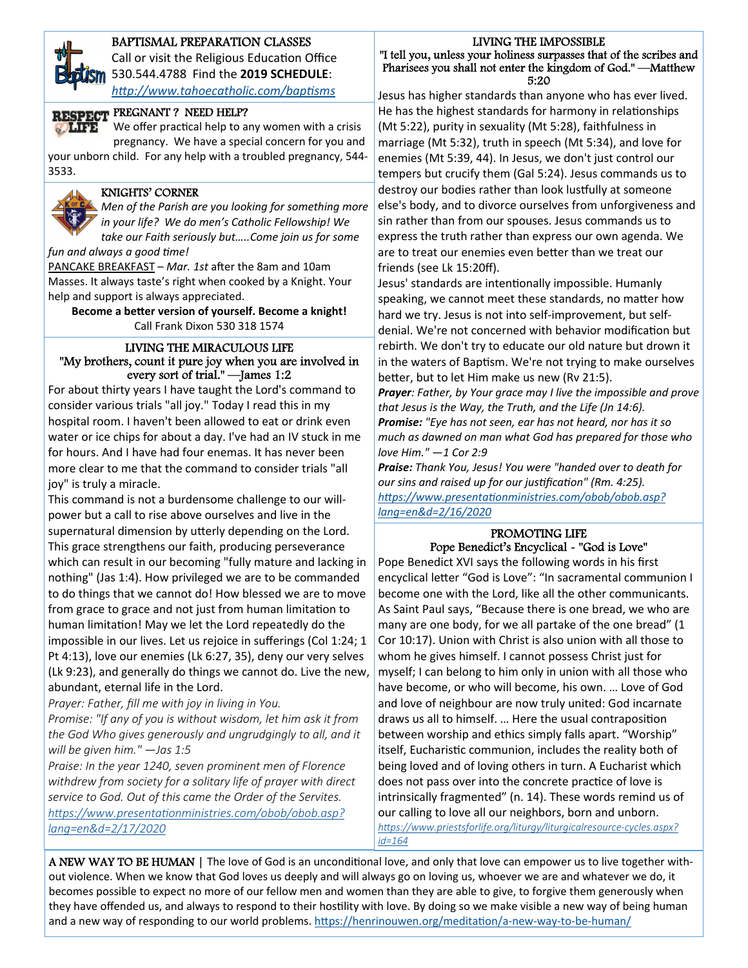

### BAPTISMAL PREPARATION CLASSES

 *hƩp://www.tahoecatholic.com/bapƟsms* Call or visit the Religious Education Office 530.544.4788 Find the **2019 SCHEDULE**:

# **RESPECT** PREGNANT? NEED HELP?

# We offer practical help to any women with a crisis

 pregnancy. We have a special concern for you and your unborn child. For any help with a troubled pregnancy, 544‐ 3533.



### KNIGHTS' CORNER

 *take our Faith seriously but…..Come join us for some Men of the Parish are you looking for something more in your life? We do men's Catholic Fellowship! We fun and always a good Ɵme!* 

PANCAKE BREAKFAST - Mar. 1st after the 8am and 10am Masses. It always taste's right when cooked by a Knight. Your help and support is always appreciated.

**Become a beƩer version of yourself. Become a knight!** Call Frank Dixon 530 318 1574

### LIVING THE MIRACULOUS LIFE "My brothers, count it pure joy when you are involved in every sort of trial." —James 1:2

For about thirty years I have taught the Lord's command to consider various trials "all joy." Today I read this in my hospital room. I haven't been allowed to eat or drink even water or ice chips for about a day. I've had an IV stuck in me for hours. And I have had four enemas. It has never been more clear to me that the command to consider trials "all joy" is truly a miracle.

This command is not a burdensome challenge to our will‐ power but a call to rise above ourselves and live in the supernatural dimension by utterly depending on the Lord. This grace strengthens our faith, producing perseverance which can result in our becoming "fully mature and lacking in nothing" (Jas 1:4). How privileged we are to be commanded to do things that we cannot do! How blessed we are to move from grace to grace and not just from human limitation to human limitation! May we let the Lord repeatedly do the impossible in our lives. Let us rejoice in sufferings (Col 1:24; 1 Pt 4:13), love our enemies (Lk 6:27, 35), deny our very selves (Lk 9:23), and generally do things we cannot do. Live the new, abundant, eternal life in the Lord.

*Prayer: Father, fill me with joy in living in You. Promise: "If any of you is without wisdom, let him ask it from the God Who gives generously and ungrudgingly to all, and it will be given him." —Jas 1:5* 

*Praise: In the year 1240, seven prominent men of Florence withdrew from society for a solitary life of prayer with direct service to God. Out of this came the Order of the Servites. hƩps://www.presentaƟonministries.com/obob/obob.asp? lang=en&d=2/17/2020* 

### LIVING THE IMPOSSIBLE

"I tell you, unless your holiness surpasses that of the scribes and Pharisees you shall not enter the kingdom of God." —Matthew 5:20

Jesus has higher standards than anyone who has ever lived. He has the highest standards for harmony in relationships (Mt 5:22), purity in sexuality (Mt 5:28), faithfulness in marriage (Mt 5:32), truth in speech (Mt 5:34), and love for enemies (Mt 5:39, 44). In Jesus, we don't just control our tempers but crucify them (Gal 5:24). Jesus commands us to destroy our bodies rather than look lustfully at someone else's body, and to divorce ourselves from unforgiveness and sin rather than from our spouses. Jesus commands us to express the truth rather than express our own agenda. We are to treat our enemies even better than we treat our friends (see Lk 15:20ff).

Jesus' standards are intentionally impossible. Humanly speaking, we cannot meet these standards, no matter how hard we try. Jesus is not into self‐improvement, but self‐ denial. We're not concerned with behavior modification but rebirth. We don't try to educate our old nature but drown it in the waters of Baptism. We're not trying to make ourselves better, but to let Him make us new (Rv 21:5).

*Prayer: Father, by Your grace may I live the impossible and prove that Jesus is the Way, the Truth, and the Life (Jn 14:6). Promise: "Eye has not seen, ear has not heard, nor has it so much as dawned on man what God has prepared for those who love Him." —1 Cor 2:9* 

*Praise: Thank You, Jesus! You were "handed over to death for our sins and raised up for our jusƟficaƟon" (Rm. 4:25). hƩps://www.presentaƟonministries.com/obob/obob.asp? lang=en&d=2/16/2020*

### PROMOTING LIFE Pope Benedict's Encyclical - "God is Love"

Pope Benedict XVI says the following words in his first encyclical letter "God is Love": "In sacramental communion I become one with the Lord, like all the other communicants. As Saint Paul says, "Because there is one bread, we who are many are one body, for we all partake of the one bread" (1 Cor 10:17). Union with Christ is also union with all those to whom he gives himself. I cannot possess Christ just for myself; I can belong to him only in union with all those who have become, or who will become, his own. … Love of God and love of neighbour are now truly united: God incarnate draws us all to himself. ... Here the usual contraposition between worship and ethics simply falls apart. "Worship" itself, Eucharistic communion, includes the reality both of being loved and of loving others in turn. A Eucharist which does not pass over into the concrete practice of love is intrinsically fragmented" (n. 14). These words remind us of our calling to love all our neighbors, born and unborn. *hƩps://www.priestsforlife.org/liturgy/liturgicalresource‐cycles.aspx? id=164* 

A NEW WAY TO BE HUMAN | The love of God is an unconditional love, and only that love can empower us to live together without violence. When we know that God loves us deeply and will always go on loving us, whoever we are and whatever we do, it becomes possible to expect no more of our fellow men and women than they are able to give, to forgive them generously when they have offended us, and always to respond to their hostility with love. By doing so we make visible a new way of being human and a new way of responding to our world problems. https://henrinouwen.org/meditation/a-new-way-to-be-human/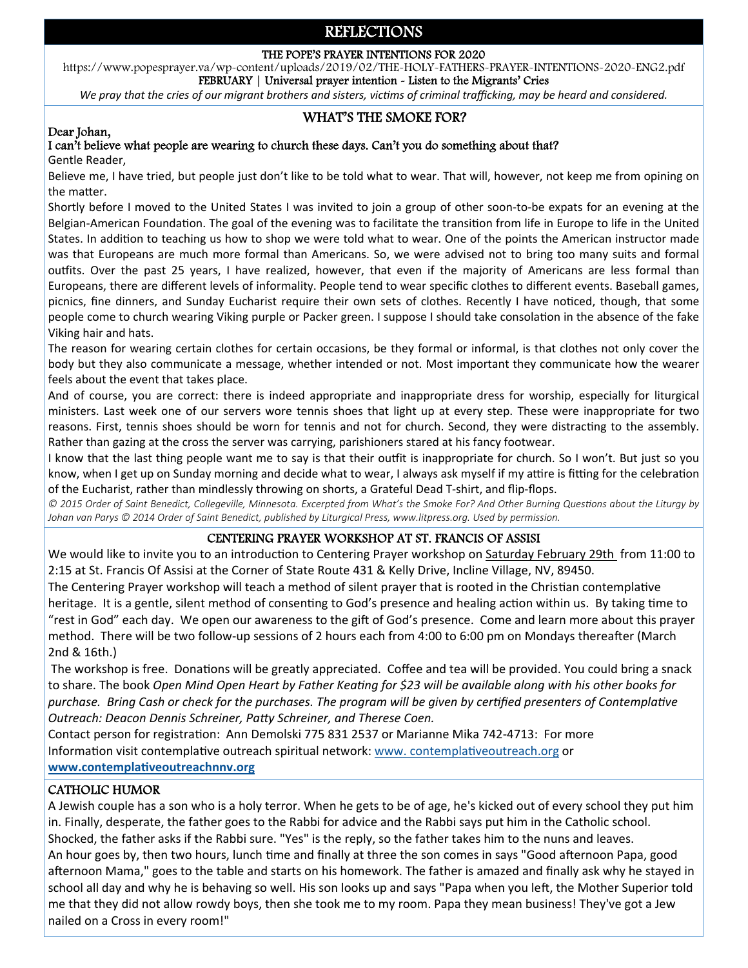# REFLECTIONS

### THE POPE'S PRAYER INTENTIONS FOR 2020

https://www.popesprayer.va/wp-content/uploads/2019/02/THE-HOLY-FATHERS-PRAYER-INTENTIONS-2020-ENG2.pdf FEBRUARY | Universal prayer intention - Listen to the Migrants' Cries

*We pray that the cries of our migrant brothers and sisters, victims of criminal trafficking, may be heard and considered.* 

# WHAT'S THE SMOKE FOR? Dear Johan,

## I can't believe what people are wearing to church these days. Can't you do something about that?

Gentle Reader,

Believe me, I have tried, but people just don't like to be told what to wear. That will, however, not keep me from opining on the matter.

Shortly before I moved to the United States I was invited to join a group of other soon-to-be expats for an evening at the Belgian-American Foundation. The goal of the evening was to facilitate the transition from life in Europe to life in the United States. In addition to teaching us how to shop we were told what to wear. One of the points the American instructor made was that Europeans are much more formal than Americans. So, we were advised not to bring too many suits and formal outfits. Over the past 25 years, I have realized, however, that even if the majority of Americans are less formal than Europeans, there are different levels of informality. People tend to wear specific clothes to different events. Baseball games, picnics, fine dinners, and Sunday Eucharist require their own sets of clothes. Recently I have noticed, though, that some people come to church wearing Viking purple or Packer green. I suppose I should take consolation in the absence of the fake Viking hair and hats.

The reason for wearing certain clothes for certain occasions, be they formal or informal, is that clothes not only cover the body but they also communicate a message, whether intended or not. Most important they communicate how the wearer feels about the event that takes place.

And of course, you are correct: there is indeed appropriate and inappropriate dress for worship, especially for liturgical ministers. Last week one of our servers wore tennis shoes that light up at every step. These were inappropriate for two reasons. First, tennis shoes should be worn for tennis and not for church. Second, they were distracting to the assembly. Rather than gazing at the cross the server was carrying, parishioners stared at his fancy footwear.

I know that the last thing people want me to say is that their outfit is inappropriate for church. So I won't. But just so you know, when I get up on Sunday morning and decide what to wear, I always ask myself if my attire is fitting for the celebration of the Eucharist, rather than mindlessly throwing on shorts, a Grateful Dead T‐shirt, and flip‐flops.

*© 2015 Order of Saint Benedict, Collegeville, Minnesota. Excerpted from What's the Smoke For? And Other Burning QuesƟons about the Liturgy by*  Johan van Parys © 2014 Order of Saint Benedict, published by Liturgical Press, www.litpress.org. Used by permission.

### CENTERING PRAYER WORKSHOP AT ST. FRANCIS OF ASSISI

We would like to invite you to an introduction to Centering Prayer workshop on Saturday February 29th from 11:00 to 2:15 at St. Francis Of Assisi at the Corner of State Route 431 & Kelly Drive, Incline Village, NV, 89450.

The Centering Prayer workshop will teach a method of silent prayer that is rooted in the Christian contemplative heritage. It is a gentle, silent method of consenting to God's presence and healing action within us. By taking time to "rest in God" each day. We open our awareness to the gift of God's presence. Come and learn more about this prayer method. There will be two follow-up sessions of 2 hours each from 4:00 to 6:00 pm on Mondays thereafter (March 2nd & 16th.)

The workshop is free. Donations will be greatly appreciated. Coffee and tea will be provided. You could bring a snack to share. The book Open Mind Open Heart by Father Keating for \$23 will be available along with his other books for *purchase. Bring Cash or check for the purchases. The program will be given by cerƟfied presenters of ContemplaƟve Outreach: Deacon Dennis Schreiner, PaƩy Schreiner, and Therese Coen.*

Contact person for registration: Ann Demolski 775 831 2537 or Marianne Mika 742-4713: For more Information visit contemplative outreach spiritual network: www. contemplativeoutreach.org or **www.contemplaƟveoutreachnnv.org**

### CATHOLIC HUMOR

A Jewish couple has a son who is a holy terror. When he gets to be of age, he's kicked out of every school they put him in. Finally, desperate, the father goes to the Rabbi for advice and the Rabbi says put him in the Catholic school. Shocked, the father asks if the Rabbi sure. "Yes" is the reply, so the father takes him to the nuns and leaves. An hour goes by, then two hours, lunch time and finally at three the son comes in says "Good afternoon Papa, good afternoon Mama," goes to the table and starts on his homework. The father is amazed and finally ask why he stayed in school all day and why he is behaving so well. His son looks up and says "Papa when you left, the Mother Superior told me that they did not allow rowdy boys, then she took me to my room. Papa they mean business! They've got a Jew nailed on a Cross in every room!"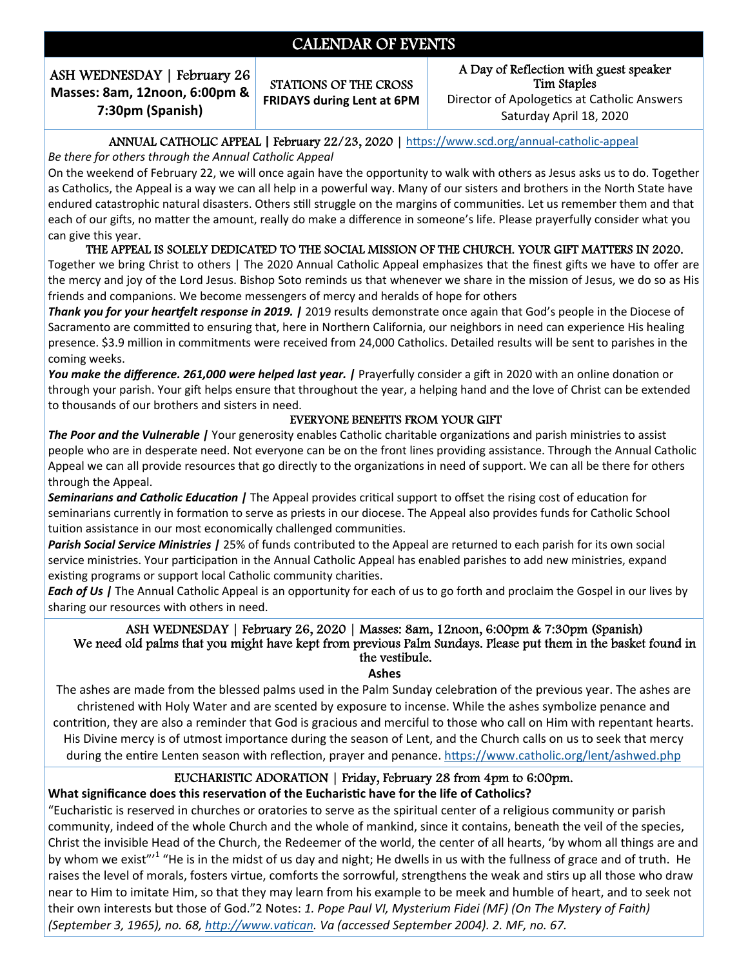# CALENDAR OF EVENTS

ASH WEDNESDAY | February 26 **Masses: 8am, 12noon, 6:00pm & 7:30pm (Spanish)** 

STATIONS OF THE CROSS **FRIDAYS during Lent at 6PM** A Day of Reflection with guest speaker Tim Staples

Director of Apologetics at Catholic Answers Saturday April 18, 2020

ANNUAL CATHOLIC APPEAL | February 22/23, 2020 | https://www.scd.org/annual-catholic-appeal

*Be there for others through the Annual Catholic Appeal* 

On the weekend of February 22, we will once again have the opportunity to walk with others as Jesus asks us to do. Together as Catholics, the Appeal is a way we can all help in a powerful way. Many of our sisters and brothers in the North State have endured catastrophic natural disasters. Others still struggle on the margins of communities. Let us remember them and that each of our gifts, no matter the amount, really do make a difference in someone's life. Please prayerfully consider what you can give this year.

THE APPEAL IS SOLELY DEDICATED TO THE SOCIAL MISSION OF THE CHURCH. YOUR GIFT MATTERS IN 2020.

Together we bring Christ to others | The 2020 Annual Catholic Appeal emphasizes that the finest gifts we have to offer are the mercy and joy of the Lord Jesus. Bishop Soto reminds us that whenever we share in the mission of Jesus, we do so as His friends and companions. We become messengers of mercy and heralds of hope for others

**Thank you for your heartfelt response in 2019.** | 2019 results demonstrate once again that God's people in the Diocese of Sacramento are committed to ensuring that, here in Northern California, our neighbors in need can experience His healing presence. \$3.9 million in commitments were received from 24,000 Catholics. Detailed results will be sent to parishes in the coming weeks.

You make the difference. 261,000 were helped last year. | Prayerfully consider a gift in 2020 with an online donation or through your parish. Your gift helps ensure that throughout the year, a helping hand and the love of Christ can be extended to thousands of our brothers and sisters in need.

### EVERYONE BENEFITS FROM YOUR GIFT

**The Poor and the Vulnerable /** Your generosity enables Catholic charitable organizations and parish ministries to assist people who are in desperate need. Not everyone can be on the front lines providing assistance. Through the Annual Catholic Appeal we can all provide resources that go directly to the organizations in need of support. We can all be there for others through the Appeal.

**Seminarians and Catholic Education /** The Appeal provides critical support to offset the rising cost of education for seminarians currently in formation to serve as priests in our diocese. The Appeal also provides funds for Catholic School tuition assistance in our most economically challenged communities.

*Parish Social Service Ministries |* 25% of funds contributed to the Appeal are returned to each parish for its own social service ministries. Your participation in the Annual Catholic Appeal has enabled parishes to add new ministries, expand existing programs or support local Catholic community charities.

**Each of Us** | The Annual Catholic Appeal is an opportunity for each of us to go forth and proclaim the Gospel in our lives by sharing our resources with others in need.

### ASH WEDNESDAY | February 26, 2020 | Masses: 8am, 12noon, 6:00pm & 7:30pm (Spanish) We need old palms that you might have kept from previous Palm Sundays. Please put them in the basket found in the vestibule.

### **Ashes**

The ashes are made from the blessed palms used in the Palm Sunday celebration of the previous year. The ashes are christened with Holy Water and are scented by exposure to incense. While the ashes symbolize penance and contrition, they are also a reminder that God is gracious and merciful to those who call on Him with repentant hearts. His Divine mercy is of utmost importance during the season of Lent, and the Church calls on us to seek that mercy during the entire Lenten season with reflection, prayer and penance. https://www.catholic.org/lent/ashwed.php

### EUCHARISTIC ADORATION | Friday, February 28 from 4pm to 6:00pm.

**What significance does this reservaƟon of the EucharisƟc have for the life of Catholics?** 

"EucharisƟc is reserved in churches or oratories to serve as the spiritual center of a religious community or parish community, indeed of the whole Church and the whole of mankind, since it contains, beneath the veil of the species, Christ the invisible Head of the Church, the Redeemer of the world, the center of all hearts, 'by whom all things are and by whom we exist"<sup>1</sup> "He is in the midst of us day and night; He dwells in us with the fullness of grace and of truth. He raises the level of morals, fosters virtue, comforts the sorrowful, strengthens the weak and stirs up all those who draw near to Him to imitate Him, so that they may learn from his example to be meek and humble of heart, and to seek not their own interests but those of God."2 Notes: *1. Pope Paul VI, Mysterium Fidei (MF) (On The Mystery of Faith) (September 3, 1965), no. 68, hƩp://www.vaƟcan. Va (accessed September 2004). 2. MF, no. 67.*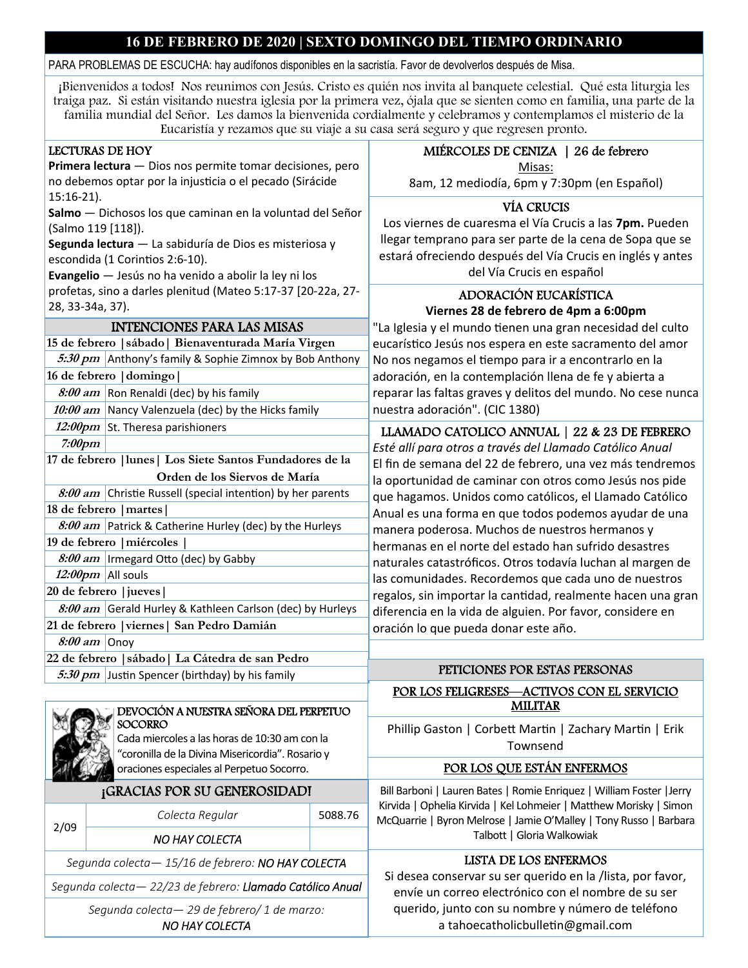# **16 DE FEBRERO DE 2020 | SEXTO DOMINGO DEL TIEMPO ORDINARIO**

PARA PROBLEMAS DE ESCUCHA: hay audífonos disponibles en la sacristía. Favor de devolverlos después de Misa.

¡Bienvenidos a todos! Nos reunimos con Jesús. Cristo es quién nos invita al banquete celestial. Qué esta liturgia les traiga paz. Si están visitando nuestra iglesia por la primera vez, ójala que se sienten como en familia, una parte de la familia mundial del Señor. Les damos la bienvenida cordialmente y celebramos y contemplamos el misterio de la en pronto.

|                                                                                                                                                                                                                                                                                     | Tamina mundial del señol. Les damos la pienvenida cordialmente y celepramos y contemplamos el misterio de la<br>Eucaristía y rezamos que su viaje a su casa será seguro y que regresen pronto.                                                                                                                                                                                                                                                                                                                                                                                                                                                                                                                                                            |
|-------------------------------------------------------------------------------------------------------------------------------------------------------------------------------------------------------------------------------------------------------------------------------------|-----------------------------------------------------------------------------------------------------------------------------------------------------------------------------------------------------------------------------------------------------------------------------------------------------------------------------------------------------------------------------------------------------------------------------------------------------------------------------------------------------------------------------------------------------------------------------------------------------------------------------------------------------------------------------------------------------------------------------------------------------------|
| <b>LECTURAS DE HOY</b><br>Primera lectura - Dios nos permite tomar decisiones, pero<br>no debemos optar por la injusticia o el pecado (Sirácide                                                                                                                                     | MIÉRCOLES DE CENIZA   26 de febrero<br>Misas:<br>8am, 12 mediodía, 6pm y 7:30pm (en Español)                                                                                                                                                                                                                                                                                                                                                                                                                                                                                                                                                                                                                                                              |
| $15:16-21$ ).<br>Salmo - Dichosos los que caminan en la voluntad del Señor<br>(Salmo 119 [118]).<br>Segunda lectura - La sabiduría de Dios es misteriosa y<br>escondida (1 Corintios 2:6-10).<br>Evangelio - Jesús no ha venido a abolir la ley ni los                              | <b>VÍA CRUCIS</b><br>Los viernes de cuaresma el Vía Crucis a las 7pm. Pueden<br>llegar temprano para ser parte de la cena de Sopa que se<br>estará ofreciendo después del Vía Crucis en inglés y antes<br>del Vía Crucis en español                                                                                                                                                                                                                                                                                                                                                                                                                                                                                                                       |
| profetas, sino a darles plenitud (Mateo 5:17-37 [20-22a, 27-<br>28, 33-34a, 37).                                                                                                                                                                                                    | ADORACIÓN EUCARÍSTICA<br>Viernes 28 de febrero de 4pm a 6:00pm                                                                                                                                                                                                                                                                                                                                                                                                                                                                                                                                                                                                                                                                                            |
| <b>INTENCIONES PARA LAS MISAS</b><br>15 de febrero   sábado   Bienaventurada María Virgen<br>5:30 pm Anthony's family & Sophie Zimnox by Bob Anthony<br>16 de febrero   domingo  <br>8:00 am Ron Renaldi (dec) by his family<br>10:00 am Nancy Valenzuela (dec) by the Hicks family | "La Iglesia y el mundo tienen una gran necesidad del culto<br>eucarístico Jesús nos espera en este sacramento del amor<br>No nos negamos el tiempo para ir a encontrarlo en la<br>adoración, en la contemplación llena de fe y abierta a<br>reparar las faltas graves y delitos del mundo. No cese nunca<br>nuestra adoración". (CIC 1380)                                                                                                                                                                                                                                                                                                                                                                                                                |
| 12:00pm St. Theresa parishioners<br>$7:00$ pm<br>17 de febrero   lunes   Los Siete Santos Fundadores de la<br>Orden de los Siervos de María                                                                                                                                         | LLAMADO CATOLICO ANNUAL   22 & 23 DE FEBRERO<br>Esté allí para otros a través del Llamado Católico Anual<br>El fin de semana del 22 de febrero, una vez más tendremos<br>la oportunidad de caminar con otros como Jesús nos pide<br>que hagamos. Unidos como católicos, el Llamado Católico<br>Anual es una forma en que todos podemos ayudar de una<br>manera poderosa. Muchos de nuestros hermanos y<br>hermanas en el norte del estado han sufrido desastres<br>naturales catastróficos. Otros todavía luchan al margen de<br>las comunidades. Recordemos que cada uno de nuestros<br>regalos, sin importar la cantidad, realmente hacen una gran<br>diferencia en la vida de alguien. Por favor, considere en<br>oración lo que pueda donar este año. |
| 8:00 am Christie Russell (special intention) by her parents<br>18 de febrero   martes  <br>8:00 am Patrick & Catherine Hurley (dec) by the Hurleys                                                                                                                                  |                                                                                                                                                                                                                                                                                                                                                                                                                                                                                                                                                                                                                                                                                                                                                           |
| 19 de febrero   miércoles<br>8:00 am Irmegard Otto (dec) by Gabby<br>$12:00$ pm All souls                                                                                                                                                                                           |                                                                                                                                                                                                                                                                                                                                                                                                                                                                                                                                                                                                                                                                                                                                                           |
| 20 de febrero   jueves  <br>8:00 am Gerald Hurley & Kathleen Carlson (dec) by Hurleys<br>21 de febrero   viernes   San Pedro Damián<br>$8:00$ am Onoy                                                                                                                               |                                                                                                                                                                                                                                                                                                                                                                                                                                                                                                                                                                                                                                                                                                                                                           |
| 22 de febrero   sábado   La Cátedra de san Pedro<br>5:30 pm Justin Spencer (birthday) by his family                                                                                                                                                                                 | PETICIONES POR ESTAS PERSONAS                                                                                                                                                                                                                                                                                                                                                                                                                                                                                                                                                                                                                                                                                                                             |
| DEVOCIÓN A NUESTRA SEÑORA DEL PERPETUO                                                                                                                                                                                                                                              | POR LOS FELIGRESES-ACTIVOS CON EL SERVICIO<br><b>MILITAR</b>                                                                                                                                                                                                                                                                                                                                                                                                                                                                                                                                                                                                                                                                                              |
| <b>SOCORRO</b><br>Cada miercoles a las horas de 10:30 am con la<br>"coronilla de la Divina Misericordia". Rosario y                                                                                                                                                                 | Phillip Gaston   Corbett Martin   Zachary Martin   Erik<br>Townsend                                                                                                                                                                                                                                                                                                                                                                                                                                                                                                                                                                                                                                                                                       |

### POR LOS QUE ESTÁN ENFERMOS

Bill Barboni | Lauren Bates | Romie Enriquez | William Foster |Jerry Kirvida | Ophelia Kirvida | Kel Lohmeier | Matthew Morisky | Simon McQuarrie | Byron Melrose | Jamie O'Malley | Tony Russo | Barbara Talbott | Gloria Walkowiak

### LISTA DE LOS ENFERMOS

Si desea conservar su ser querido en la /lista, por favor, envíe un correo electrónico con el nombre de su ser querido, junto con su nombre y número de teléfono a tahoecatholicbulletin@gmail.com

**Communista especiales al Perpetuo Socorro.** 

# ¡GRACIAS POR SU GENEROSIDAD!

2/09 *Colecta Regular* 5088.76 *NO HAY COLECTA Segunda colecta— 15/16 de febrero: NO HAY COLECTA Segunda colecta— 22/23 de febrero: Llamado Católico Anual Segunda colecta— 29 de febrero/ 1 de marzo: NO HAY COLECTA*